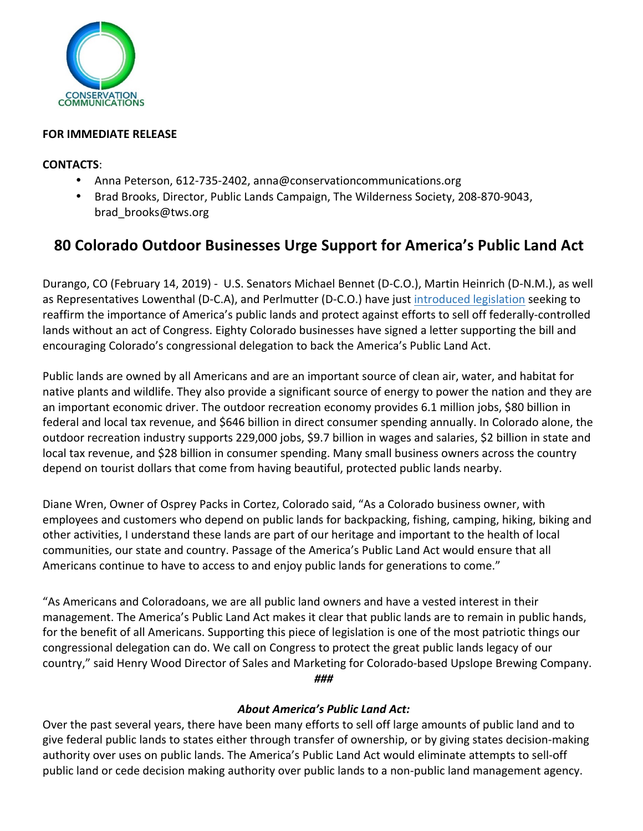

# **FOR IMMEDIATE RELEASE**

# **CONTACTS**:

- Anna Peterson, 612-735-2402, anna@conservationcommunications.org
- Brad Brooks, Director, Public Lands Campaign, The Wilderness Society, 208-870-9043, brad\_brooks@tws.org

# **80 Colorado Outdoor Businesses Urge Support for America's Public Land Act**

Durango, CO (February 14, 2019) - U.S. Senators Michael Bennet (D-C.O.), Martin Heinrich (D-N.M.), as well as Representatives Lowenthal (D-C.A), and Perlmutter (D-C.O.) have just introduced legislation seeking to reaffirm the importance of America's public lands and protect against efforts to sell off federally-controlled lands without an act of Congress. Eighty Colorado businesses have signed a letter supporting the bill and encouraging Colorado's congressional delegation to back the America's Public Land Act.

Public lands are owned by all Americans and are an important source of clean air, water, and habitat for native plants and wildlife. They also provide a significant source of energy to power the nation and they are an important economic driver. The outdoor recreation economy provides 6.1 million jobs, \$80 billion in federal and local tax revenue, and \$646 billion in direct consumer spending annually. In Colorado alone, the outdoor recreation industry supports 229,000 jobs, \$9.7 billion in wages and salaries, \$2 billion in state and local tax revenue, and \$28 billion in consumer spending. Many small business owners across the country depend on tourist dollars that come from having beautiful, protected public lands nearby.

Diane Wren, Owner of Osprey Packs in Cortez, Colorado said, "As a Colorado business owner, with employees and customers who depend on public lands for backpacking, fishing, camping, hiking, biking and other activities, I understand these lands are part of our heritage and important to the health of local communities, our state and country. Passage of the America's Public Land Act would ensure that all Americans continue to have to access to and enjoy public lands for generations to come."

"As Americans and Coloradoans, we are all public land owners and have a vested interest in their management. The America's Public Land Act makes it clear that public lands are to remain in public hands, for the benefit of all Americans. Supporting this piece of legislation is one of the most patriotic things our congressional delegation can do. We call on Congress to protect the great public lands legacy of our country," said Henry Wood Director of Sales and Marketing for Colorado-based Upslope Brewing Company. *###*

# *About America's Public Land Act:*

Over the past several years, there have been many efforts to sell off large amounts of public land and to give federal public lands to states either through transfer of ownership, or by giving states decision-making authority over uses on public lands. The America's Public Land Act would eliminate attempts to sell-off public land or cede decision making authority over public lands to a non-public land management agency.